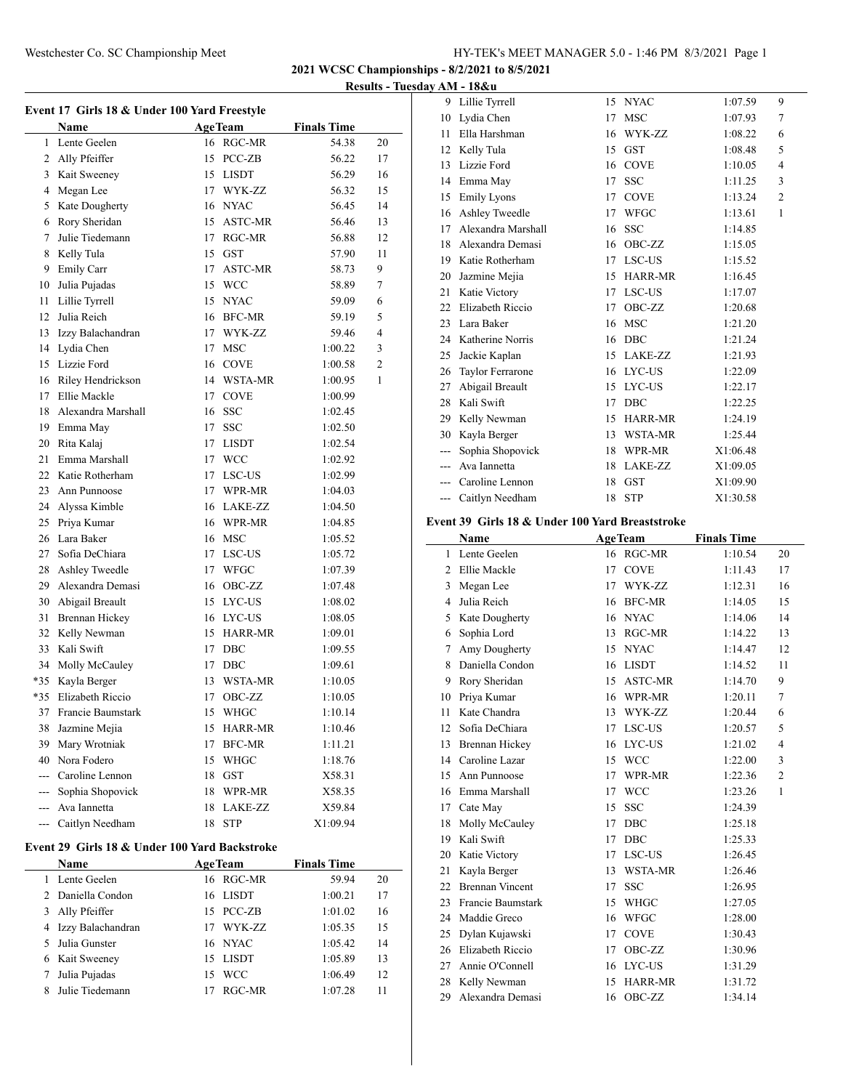## Westchester Co. SC Championship Meet HY-TEK's MEET MANAGER 5.0 - 1:46 PM 8/3/2021 Page 1

**2021 WCSC Championships - 8/2/2021 to 8/5/2021**

**Results - Tuesday AM - 18&u**

|       | Name                                          |    | <b>AgeTeam</b> | <b>Finals Time</b> |          |
|-------|-----------------------------------------------|----|----------------|--------------------|----------|
| 1     | Lente Geelen                                  |    | 16 RGC-MR      | 54.38              | 20       |
|       | 2 Ally Pfeiffer                               |    |                |                    |          |
|       | 3 Kait Sweeney                                |    | 15 PCC-ZB      | 56.22<br>56.29     | 17<br>16 |
|       |                                               |    | 15 LISDT       |                    |          |
| 4     | Megan Lee                                     |    | 17 WYK-ZZ      | 56.32              | 15       |
| 5     | Kate Dougherty                                |    | 16 NYAC        | 56.45              | 14       |
| 6     | Rory Sheridan<br>Julie Tiedemann              | 15 | <b>ASTC-MR</b> | 56.46              | 13       |
| 7     |                                               | 17 | RGC-MR         | 56.88              | 12       |
| 8     | Kelly Tula                                    |    | 15 GST         | 57.90              | 11       |
| 9     | Emily Carr                                    | 17 | <b>ASTC-MR</b> | 58.73              | 9        |
| 10    | Julia Pujadas                                 |    | 15 WCC         | 58.89              | 7        |
| 11    | Lillie Tyrrell                                |    | 15 NYAC        | 59.09              | 6        |
| 12    | Julia Reich                                   |    | 16 BFC-MR      | 59.19              | 5        |
| 13    | Izzy Balachandran                             |    | 17 WYK-ZZ      | 59.46              | 4        |
|       | 14 Lydia Chen                                 | 17 | MSC            | 1:00.22            | 3        |
|       | 15 Lizzie Ford                                |    | 16 COVE        | 1:00.58            | 2        |
| 16    | Riley Hendrickson                             |    | 14 WSTA-MR     | 1:00.95            | 1        |
| 17    | Ellie Mackle                                  |    | 17 COVE        | 1:00.99            |          |
| 18    | Alexandra Marshall                            |    | 16 SSC         | 1:02.45            |          |
|       | 19 Emma May                                   | 17 | <b>SSC</b>     | 1:02.50            |          |
| 20    | Rita Kalaj                                    | 17 | <b>LISDT</b>   | 1:02.54            |          |
| 21    | Emma Marshall                                 |    | 17 WCC         | 1:02.92            |          |
|       | 22 Katie Rotherham                            |    | 17 LSC-US      | 1:02.99            |          |
| 23    | Ann Punnoose                                  |    | 17 WPR-MR      | 1:04.03            |          |
|       | 24 Alyssa Kimble                              |    | 16 LAKE-ZZ     | 1:04.50            |          |
| 25    | Priya Kumar                                   |    | 16 WPR-MR      | 1:04.85            |          |
| 26    | Lara Baker                                    |    | 16 MSC         | 1:05.52            |          |
| 27    | Sofia DeChiara                                |    | 17 LSC-US      | 1:05.72            |          |
| 28    | Ashley Tweedle                                |    | 17 WFGC        | 1:07.39            |          |
| 29    | Alexandra Demasi                              | 16 | OBC-ZZ         | 1:07.48            |          |
| 30    | Abigail Breault                               |    | 15 LYC-US      | 1:08.02            |          |
| 31    | <b>Brennan Hickey</b>                         |    | 16 LYC-US      | 1:08.05            |          |
| 32    | Kelly Newman                                  |    | 15 HARR-MR     | 1:09.01            |          |
| 33    | Kali Swift                                    | 17 | DBC            | 1:09.55            |          |
| 34    | Molly McCauley                                |    | 17 DBC         | 1:09.61            |          |
| $*35$ | Kayla Berger                                  |    | 13 WSTA-MR     | 1:10.05            |          |
|       | *35 Elizabeth Riccio                          |    | 17 OBC-ZZ      | 1:10.05            |          |
|       | 37 Francie Baumstark                          |    | 15 WHGC        | 1:10.14            |          |
|       | 38 Jazmine Mejia                              |    | 15 HARR-MR     | 1:10.46            |          |
|       | 39 Mary Wrotniak                              | 17 | BFC-MR         | 1:11.21            |          |
|       | 40 Nora Fodero                                |    | 15 WHGC        | 1:18.76            |          |
|       | --- Caroline Lennon                           |    | 18 GST         | X58.31             |          |
|       | --- Sophia Shopovick                          |    | 18 WPR-MR      | X58.35             |          |
| ---   | Ava Iannetta                                  |    | 18 LAKE-ZZ     | X59.84             |          |
|       | --- Caitlyn Needham                           | 18 | <b>STP</b>     | X1:09.94           |          |
|       |                                               |    |                |                    |          |
|       | Event 29 Girls 18 & Under 100 Yard Backstroke |    |                |                    |          |
|       | <b>Example 21 Age Team</b><br>Name            |    |                | <b>Finals Time</b> |          |

| iname               |    | Age ream  | rinais lime |    |
|---------------------|----|-----------|-------------|----|
| Lente Geelen        |    | 16 RGC-MR | 59.94       | 20 |
| 2 Daniella Condon   |    | 16 LISDT  | 1:00.21     | 17 |
| 3 Ally Pfeiffer     |    | 15 PCC-ZB | 1:01.02     | 16 |
| 4 Izzy Balachandran |    | 17 WYK-ZZ | 1:05.35     | 15 |
| 5 Julia Gunster     |    | 16 NYAC   | 1:05.42     | 14 |
| 6 Kait Sweeney      |    | 15 LISDT  | 1:05.89     | 13 |
| Julia Pujadas       |    | 15 WCC    | 1:06.49     | 12 |
| Julie Tiedemann     | 17 | RGC-MR    | 1:07.28     | 11 |
|                     |    |           |             |    |

| 9     | Lillie Tyrrell          | 15 | <b>NYAC</b>    | 1:07.59  | 9              |
|-------|-------------------------|----|----------------|----------|----------------|
| 10    | Lydia Chen              | 17 | <b>MSC</b>     | 1:07.93  | 7              |
| 11    | Ella Harshman           | 16 | WYK-ZZ         | 1:08.22  | 6              |
| 12    | Kelly Tula              | 15 | <b>GST</b>     | 1:08.48  | 5              |
| 13    | Lizzie Ford             | 16 | <b>COVE</b>    | 1:10.05  | 4              |
| 14    | Emma May                | 17 | <b>SSC</b>     | 1:11.25  | 3              |
| 15    | <b>Emily Lyons</b>      | 17 | <b>COVE</b>    | 1:13.24  | $\overline{c}$ |
| 16    | <b>Ashley Tweedle</b>   | 17 | <b>WFGC</b>    | 1:13.61  | 1              |
| 17    | Alexandra Marshall      | 16 | <b>SSC</b>     | 1:14.85  |                |
| 18    | Alexandra Demasi        | 16 | OBC-ZZ         | 1:15.05  |                |
| 19    | Katie Rotherham         | 17 | LSC-US         | 1:15.52  |                |
| 20    | Jazmine Mejia           | 15 | <b>HARR-MR</b> | 1:16.45  |                |
| 21    | Katie Victory           | 17 | LSC-US         | 1:17.07  |                |
| 22    | <b>Elizabeth Riccio</b> | 17 | OBC-ZZ         | 1:20.68  |                |
| 23    | Lara Baker              | 16 | <b>MSC</b>     | 1:21.20  |                |
| 24    | Katherine Norris        | 16 | <b>DBC</b>     | 1:21.24  |                |
| 25    | Jackie Kaplan           | 15 | LAKE-ZZ        | 1:21.93  |                |
| 26    | Taylor Ferrarone        | 16 | LYC-US         | 1:22.09  |                |
| 27    | Abigail Breault         | 15 | LYC-US         | 1:22.17  |                |
| 28    | Kali Swift              | 17 | <b>DBC</b>     | 1:22.25  |                |
| 29    | Kelly Newman            | 15 | <b>HARR-MR</b> | 1:24.19  |                |
| 30    | Kayla Berger            | 13 | WSTA-MR        | 1:25.44  |                |
| $---$ | Sophia Shopovick        | 18 | WPR-MR         | X1:06.48 |                |
| $---$ | Ava Iannetta            | 18 | LAKE-ZZ        | X1:09.05 |                |
|       | Caroline Lennon         | 18 | <b>GST</b>     | X1:09.90 |                |
| $---$ | Caitlyn Needham         | 18 | <b>STP</b>     | X1:30.58 |                |
|       |                         |    |                |          |                |

## **Event 39 Girls 18 & Under 100 Yard Breaststroke**

|                | Name                   |    | <b>AgeTeam</b> | <b>Finals Time</b> |                |
|----------------|------------------------|----|----------------|--------------------|----------------|
| 1              | Lente Geelen           |    | 16 RGC-MR      | 1:10.54            | 20             |
| $\overline{c}$ | Ellie Mackle           | 17 | <b>COVE</b>    | 1:11.43            | 17             |
| 3              | Megan Lee              | 17 | WYK-ZZ         | 1:12.31            | 16             |
| 4              | Julia Reich            | 16 | <b>BFC-MR</b>  | 1:14.05            | 15             |
| 5              | Kate Dougherty         | 16 | <b>NYAC</b>    | 1:14.06            | 14             |
| 6              | Sophia Lord            | 13 | RGC-MR         | 1:14.22            | 13             |
| 7              | Amy Dougherty          | 15 | <b>NYAC</b>    | 1:14.47            | 12             |
| 8              | Daniella Condon        | 16 | <b>LISDT</b>   | 1:14.52            | 11             |
| 9              | Rory Sheridan          | 15 | ASTC-MR        | 1:14.70            | 9              |
| 10             | Priya Kumar            | 16 | WPR-MR         | 1:20.11            | 7              |
| 11             | Kate Chandra           | 13 | WYK-ZZ         | 1:20.44            | 6              |
| 12             | Sofia DeChiara         | 17 | <b>LSC-US</b>  | 1:20.57            | 5              |
| 13             | <b>Brennan Hickey</b>  | 16 | LYC-US         | 1:21.02            | 4              |
| 14             | Caroline Lazar         | 15 | <b>WCC</b>     | 1:22.00            | 3              |
| 15             | Ann Punnoose           | 17 | WPR-MR         | 1:22.36            | $\overline{2}$ |
| 16             | Emma Marshall          | 17 | <b>WCC</b>     | 1:23.26            | 1              |
| 17             | Cate May               | 15 | <b>SSC</b>     | 1:24.39            |                |
| 18             | Molly McCauley         | 17 | <b>DBC</b>     | 1:25.18            |                |
| 19             | Kali Swift             | 17 | <b>DBC</b>     | 1:25.33            |                |
| 20             | Katie Victory          | 17 | LSC-US         | 1:26.45            |                |
| 21             | Kayla Berger           | 13 | <b>WSTA-MR</b> | 1:26.46            |                |
| 22             | <b>Brennan Vincent</b> | 17 | <b>SSC</b>     | 1:26.95            |                |
| 23             | Francie Baumstark      | 15 | WHGC           | 1:27.05            |                |
| 24             | Maddie Greco           | 16 | WFGC           | 1:28.00            |                |
| 25             | Dylan Kujawski         | 17 | <b>COVE</b>    | 1:30.43            |                |
| 26             | Elizabeth Riccio       | 17 | OBC-ZZ         | 1:30.96            |                |
| 27             | Annie O'Connell        | 16 | LYC-US         | 1:31.29            |                |
| 28             | Kelly Newman           | 15 | <b>HARR-MR</b> | 1:31.72            |                |
| 29             | Alexandra Demasi       | 16 | OBC-ZZ         | 1:34.14            |                |